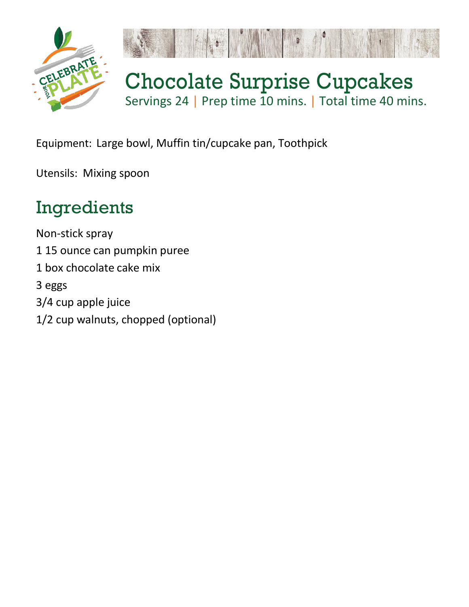

Equipment: Large bowl, Muffin tin/cupcake pan, Toothpick

Utensils: Mixing spoon

## Ingredients

Non-stick spray 1 15 ounce can pumpkin puree 1 box chocolate cake mix 3 eggs 3/4 cup apple juice 1/2 cup walnuts, chopped (optional)